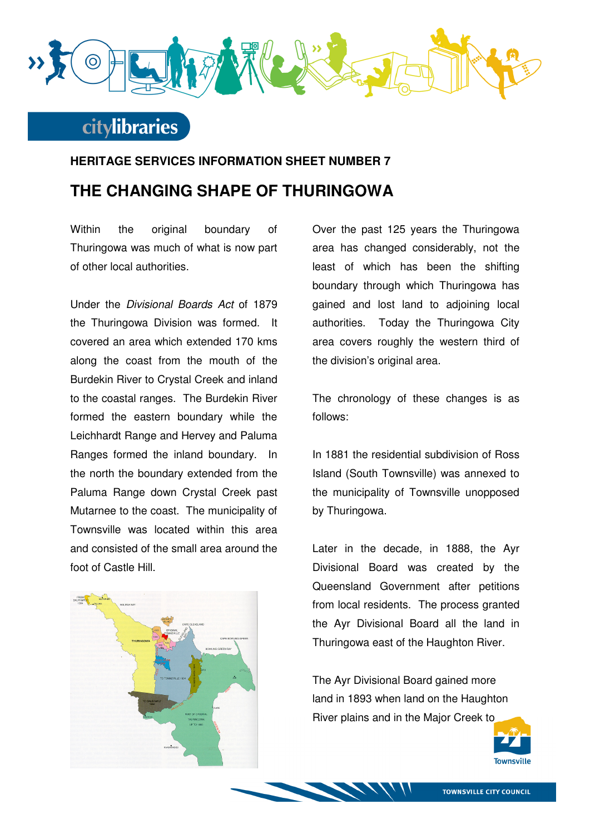

## **citylibraries**

## **HERITAGE SERVICES INFORMATION SHEET NUMBER 7 THE CHANGING SHAPE OF THURINGOWA**

Within the original boundary of Thuringowa was much of what is now part of other local authorities.

Under the Divisional Boards Act of 1879 the Thuringowa Division was formed. It covered an area which extended 170 kms along the coast from the mouth of the Burdekin River to Crystal Creek and inland to the coastal ranges. The Burdekin River formed the eastern boundary while the Leichhardt Range and Hervey and Paluma Ranges formed the inland boundary. In the north the boundary extended from the Paluma Range down Crystal Creek past Mutarnee to the coast. The municipality of Townsville was located within this area and consisted of the small area around the foot of Castle Hill.



Over the past 125 years the Thuringowa area has changed considerably, not the least of which has been the shifting boundary through which Thuringowa has gained and lost land to adjoining local authorities. Today the Thuringowa City area covers roughly the western third of the division's original area.

The chronology of these changes is as follows:

In 1881 the residential subdivision of Ross Island (South Townsville) was annexed to the municipality of Townsville unopposed by Thuringowa.

Later in the decade, in 1888, the Ayr Divisional Board was created by the Queensland Government after petitions from local residents. The process granted the Ayr Divisional Board all the land in Thuringowa east of the Haughton River.

The Ayr Divisional Board gained more land in 1893 when land on the Haughton River plains and in the Major Creek to

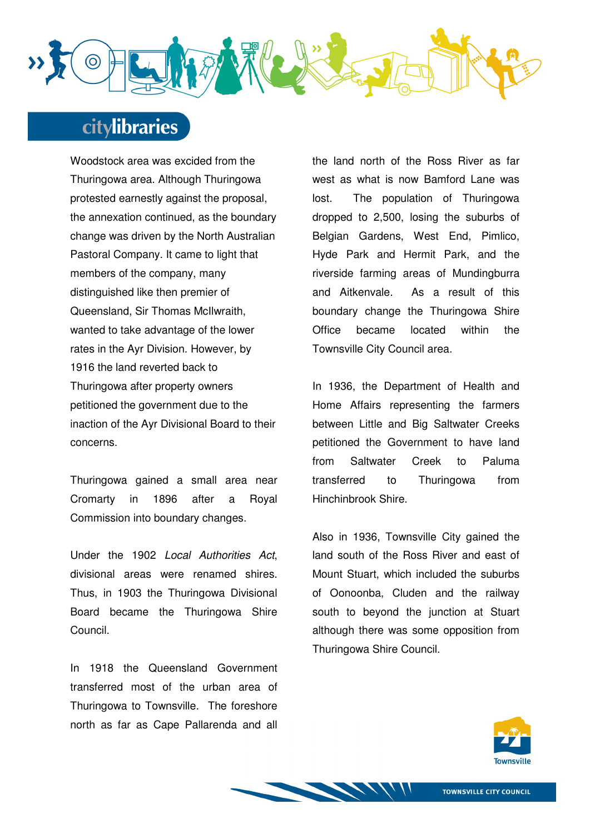

# **citylibraries**

Woodstock area was excided from the Thuringowa area. Although Thuringowa protested earnestly against the proposal, the annexation continued, as the boundary change was driven by the North Australian Pastoral Company. It came to light that members of the company, many distinguished like then premier of Queensland, Sir Thomas McIlwraith, wanted to take advantage of the lower rates in the Ayr Division. However, by 1916 the land reverted back to Thuringowa after property owners petitioned the government due to the inaction of the Ayr Divisional Board to their concerns.

Thuringowa gained a small area near Cromarty in 1896 after a Royal Commission into boundary changes.

Under the 1902 Local Authorities Act, divisional areas were renamed shires. Thus, in 1903 the Thuringowa Divisional Board became the Thuringowa Shire Council.

In 1918 the Queensland Government transferred most of the urban area of Thuringowa to Townsville. The foreshore north as far as Cape Pallarenda and all the land north of the Ross River as far west as what is now Bamford Lane was lost. The population of Thuringowa dropped to 2,500, losing the suburbs of Belgian Gardens, West End, Pimlico, Hyde Park and Hermit Park, and the riverside farming areas of Mundingburra and Aitkenvale. As a result of this boundary change the Thuringowa Shire Office became located within the Townsville City Council area.

In 1936, the Department of Health and Home Affairs representing the farmers between Little and Big Saltwater Creeks petitioned the Government to have land from Saltwater Creek to Paluma transferred to Thuringowa from Hinchinbrook Shire.

Also in 1936, Townsville City gained the land south of the Ross River and east of Mount Stuart, which included the suburbs of Oonoonba, Cluden and the railway south to beyond the junction at Stuart although there was some opposition from Thuringowa Shire Council.